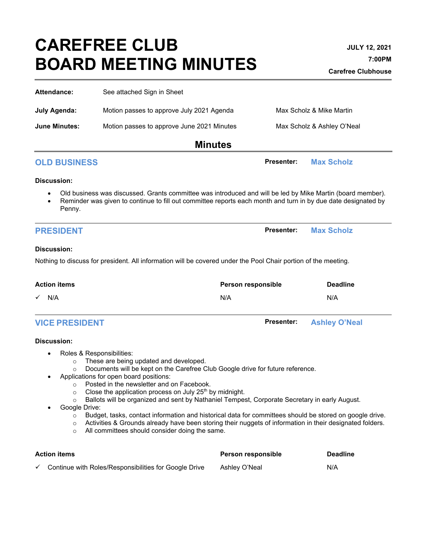# **CAREFREE CLUB BOARD MEETING MINUTES**

| Attendance:                                                                                                                                                                                 | See attached Sign in Sheet                                                                                                                                                                                                                                                                                                                                                                                                                                                                                                                                                                                                                                                                    |                                           |  |  |
|---------------------------------------------------------------------------------------------------------------------------------------------------------------------------------------------|-----------------------------------------------------------------------------------------------------------------------------------------------------------------------------------------------------------------------------------------------------------------------------------------------------------------------------------------------------------------------------------------------------------------------------------------------------------------------------------------------------------------------------------------------------------------------------------------------------------------------------------------------------------------------------------------------|-------------------------------------------|--|--|
| <b>July Agenda:</b>                                                                                                                                                                         | Motion passes to approve July 2021 Agenda                                                                                                                                                                                                                                                                                                                                                                                                                                                                                                                                                                                                                                                     | Max Scholz & Mike Martin                  |  |  |
| <b>June Minutes:</b>                                                                                                                                                                        | Motion passes to approve June 2021 Minutes                                                                                                                                                                                                                                                                                                                                                                                                                                                                                                                                                                                                                                                    | Max Scholz & Ashley O'Neal                |  |  |
|                                                                                                                                                                                             | <b>Minutes</b>                                                                                                                                                                                                                                                                                                                                                                                                                                                                                                                                                                                                                                                                                |                                           |  |  |
| <b>OLD BUSINESS</b>                                                                                                                                                                         |                                                                                                                                                                                                                                                                                                                                                                                                                                                                                                                                                                                                                                                                                               | <b>Presenter:</b><br><b>Max Scholz</b>    |  |  |
| <b>Discussion:</b>                                                                                                                                                                          |                                                                                                                                                                                                                                                                                                                                                                                                                                                                                                                                                                                                                                                                                               |                                           |  |  |
| Penny.                                                                                                                                                                                      | Old business was discussed. Grants committee was introduced and will be led by Mike Martin (board member).<br>Reminder was given to continue to fill out committee reports each month and turn in by due date designated by                                                                                                                                                                                                                                                                                                                                                                                                                                                                   |                                           |  |  |
| <b>PRESIDENT</b>                                                                                                                                                                            |                                                                                                                                                                                                                                                                                                                                                                                                                                                                                                                                                                                                                                                                                               | Presenter:<br><b>Max Scholz</b>           |  |  |
| Discussion:<br>Nothing to discuss for president. All information will be covered under the Pool Chair portion of the meeting.<br><b>Deadline</b><br>Person responsible<br>N/A<br>N/A<br>N/A |                                                                                                                                                                                                                                                                                                                                                                                                                                                                                                                                                                                                                                                                                               |                                           |  |  |
| <b>Action items</b>                                                                                                                                                                         |                                                                                                                                                                                                                                                                                                                                                                                                                                                                                                                                                                                                                                                                                               |                                           |  |  |
| <b>VICE PRESIDENT</b>                                                                                                                                                                       |                                                                                                                                                                                                                                                                                                                                                                                                                                                                                                                                                                                                                                                                                               | <b>Presenter:</b><br><b>Ashley O'Neal</b> |  |  |
| Discussion:<br>٠<br>$\circ$<br>$\circ$<br>$\circ$<br>$\circ$<br>$\circ$<br>Google Drive:<br>$\circ$<br>$\circ$<br>$\circ$                                                                   | Roles & Responsibilities:<br>These are being updated and developed.<br>Documents will be kept on the Carefree Club Google drive for future reference.<br>Applications for open board positions:<br>Posted in the newsletter and on Facebook.<br>Close the application process on July 25 <sup>th</sup> by midnight.<br>Ballots will be organized and sent by Nathaniel Tempest, Corporate Secretary in early August.<br>Budget, tasks, contact information and historical data for committees should be stored on google drive.<br>Activities & Grounds already have been storing their nuggets of information in their designated folders.<br>All committees should consider doing the same. |                                           |  |  |
| <b>Action items</b>                                                                                                                                                                         |                                                                                                                                                                                                                                                                                                                                                                                                                                                                                                                                                                                                                                                                                               | Person responsible<br><b>Deadline</b>     |  |  |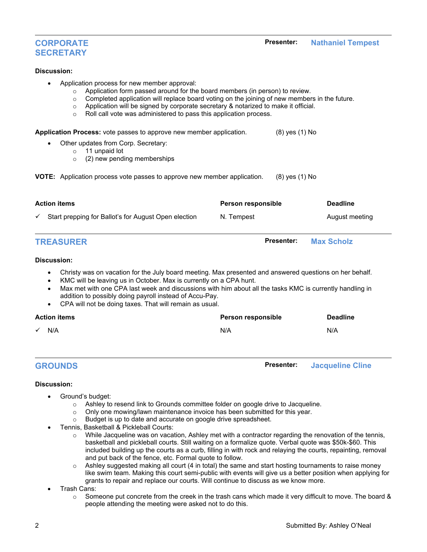# **CORPORATE SECRETARY**

#### **Discussion:**

- Application process for new member approval:
	-
	- $\circ$  Application form passed around for the board members (in person) to review.<br>  $\circ$  Completed application will replace board voting on the joining of new member  $\circ$  Completed application will replace board voting on the joining of new members in the future.<br>  $\circ$  Application will be signed by corporate secretary & notarized to make it official.
	- Application will be signed by corporate secretary & notarized to make it official.
	- Roll call vote was administered to pass this application process.

| addition to possibly doing payroll instead of Accu-Pay.<br>CPA will not be doing taxes. That will remain as usual.<br>$\bullet$<br><b>Action items</b><br>N/A                                                                                                                                                            | Person responsible<br>N/A | <b>Deadline</b><br>N/A |
|--------------------------------------------------------------------------------------------------------------------------------------------------------------------------------------------------------------------------------------------------------------------------------------------------------------------------|---------------------------|------------------------|
|                                                                                                                                                                                                                                                                                                                          |                           |                        |
|                                                                                                                                                                                                                                                                                                                          |                           |                        |
| Christy was on vacation for the July board meeting. Max presented and answered questions on her behalf.<br>٠<br>KMC will be leaving us in October. Max is currently on a CPA hunt.<br>$\bullet$<br>Max met with one CPA last week and discussions with him about all the tasks KMC is currently handling in<br>$\bullet$ |                           |                        |
| Discussion:                                                                                                                                                                                                                                                                                                              |                           |                        |
| <b>TREASURER</b>                                                                                                                                                                                                                                                                                                         | <b>Presenter:</b>         | <b>Max Scholz</b>      |
| Start prepping for Ballot's for August Open election                                                                                                                                                                                                                                                                     | N. Tempest                | August meeting         |
| <b>Action items</b>                                                                                                                                                                                                                                                                                                      | Person responsible        | <b>Deadline</b>        |
| <b>VOTE:</b> Application process vote passes to approve new member application.                                                                                                                                                                                                                                          | $(8)$ yes $(1)$ No        |                        |
| Other updates from Corp. Secretary:<br>11 unpaid lot<br>$\circ$<br>(2) new pending memberships<br>$\Omega$                                                                                                                                                                                                               |                           |                        |
|                                                                                                                                                                                                                                                                                                                          | (8) yes (1) No            |                        |
| Application Process: vote passes to approve new member application.                                                                                                                                                                                                                                                      |                           |                        |

#### **Discussion:**

- Ground's budget:
	- $\circ$  Ashley to resend link to Grounds committee folder on google drive to Jacqueline.<br>  $\circ$  Only one mowing/lawn maintenance invoice has been submitted for this vear.
	- $\circ$  Only one mowing/lawn maintenance invoice has been submitted for this year.<br> $\circ$  Budget is up to date and accurate on google drive spreadsheet.
	- Budget is up to date and accurate on google drive spreadsheet.
- Tennis, Basketball & Pickleball Courts:
	- $\circ$  While Jacqueline was on vacation, Ashley met with a contractor regarding the renovation of the tennis, basketball and pickleball courts. Still waiting on a formalize quote. Verbal quote was \$50k-\$60. This included building up the courts as a curb, filling in with rock and relaying the courts, repainting, removal and put back of the fence, etc. Formal quote to follow.
	- $\circ$  Ashley suggested making all court (4 in total) the same and start hosting tournaments to raise money like swim team. Making this court semi-public with events will give us a better position when applying for grants to repair and replace our courts. Will continue to discuss as we know more.
- Trash Cans:
	- $\circ$  Someone put concrete from the creek in the trash cans which made it very difficult to move. The board & people attending the meeting were asked not to do this.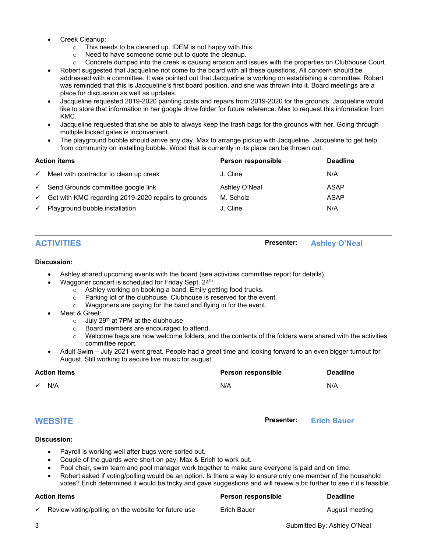- Creek Cleanup:
	- $\circ$  This needs to be cleaned up. IDEM is not happy with this.
	- $\circ$  Need to have someone come out to quote the cleanup.<br> $\circ$  Concrete dumped into the creek is causing erosion and
	- Concrete dumped into the creek is causing erosion and issues with the properties on Clubhouse Court.
- Robert suggested that Jacqueline not come to the board with all these questions. All concern should be addressed with a committee. It was pointed out that Jacqueline is working on establishing a committee. Robert was reminded that this is Jacqueline's first board position, and she was thrown into it. Board meetings are a place for discussion as well as updates.
- Jacqueline requested 2019-2020 painting costs and repairs from 2019-2020 for the grounds. Jacqueline would like to store that information in her google drive folder for future reference. Max to request this information from KMC.
- Jacqueline requested that she be able to always keep the trash bags for the grounds with her. Going through multiple locked gates is inconvenient.
- The playground bubble should arrive any day. Max to arrange pickup with Jacqueline. Jacqueline to get help from community on installing bubble. Wood that is currently in its place can be thrown out.

| <b>Action items</b> |                                                     | Person responsible | <b>Deadline</b> |
|---------------------|-----------------------------------------------------|--------------------|-----------------|
| $\checkmark$        | Meet with contractor to clean up creek              | J. Cline           | N/A             |
| $\checkmark$        | Send Grounds committee google link                  | Ashley O'Neal      | ASAP            |
| $\checkmark$        | Get with KMC regarding 2019-2020 repairs to grounds | M. Scholz          | ASAP            |
| $\checkmark$        | Playground bubble installation                      | J. Cline           | N/A             |

### **ACTIVITIES Presenter: Ashley O'Neal**

#### **Discussion:**

- Ashley shared upcoming events with the board (see activities committee report for details).
- Waggoner concert is scheduled for Friday Sept. 24<sup>th</sup>
	- $\circ$  Ashley working on booking a band, Emily getting food trucks.<br>  $\circ$  Parking lot of the clubbouse. Clubbouse is reserved for the ev
	- $\circ$  Parking lot of the clubhouse. Clubhouse is reserved for the event.<br>  $\circ$  Waggoners are paving for the band and flying in for the event.
	- Waggoners are paying for the band and flying in for the event.
- Meet & Greet:
	- $\circ$  July 29<sup>th</sup> at 7PM at the clubhouse
	- $\circ$  Board members are encouraged to attend.<br> $\circ$  Welcome bags are now welcome folders, a
	- Welcome bags are now welcome folders, and the contents of the folders were shared with the activities committee report.
- Adult Swim July 2021 went great. People had a great time and looking forward to an even bigger turnout for August. Still working to secure live music for august.

| <b>Action items</b> | Person responsible | <b>Deadline</b>    |
|---------------------|--------------------|--------------------|
| $\checkmark$<br>N/A | N/A                | N/A                |
| <b>WEBSITE</b>      | <b>Presenter:</b>  | <b>Erich Bauer</b> |

### **Discussion:**

- Payroll is working well after bugs were sorted out.
- Couple of the guards were short on pay. Max & Erich to work out.
- Pool chair, swim team and pool manager work together to make sure everyone is paid and on time.
- Robert asked if voting/polling would be an option. Is there a way to ensure only one member of the household votes? Erich determined it would be tricky and gave suggestions and will review a bit further to see if it's feasible.

### **Action items Person responsible Deadline**

 $\checkmark$  Review voting/polling on the website for future use  $\qquad$  Erich Bauer  $\qquad$  And  $\qquad$  August meeting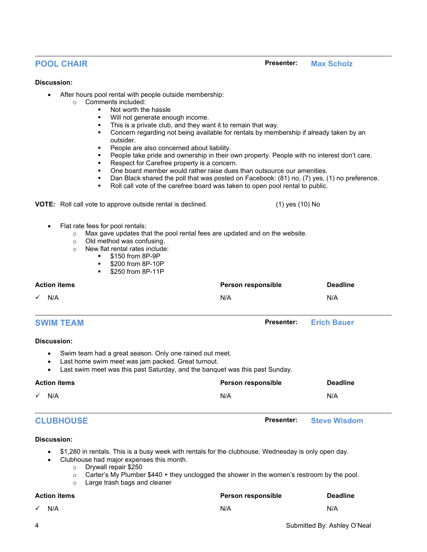#### **Discussion:**

- After hours pool rental with people outside membership:
	- o Comments included:
		- Not worth the hassle
		- Will not generate enough income.
		- This is a private club, and they want it to remain that way.
		- Concern regarding not being available for rentals by membership if already taken by an outsider.
		- **People are also concerned about liability.**
		- People take pride and ownership in their own property. People with no interest don't care.
		- Respect for Carefree property is a concern.
		- One board member would rather raise dues than outsource our amenities.
		- Dan Black shared the poll that was posted on Facebook: (81) no, (7) yes, (1) no preference.
		- Roll call vote of the carefree board was taken to open pool rental to public.

**VOTE:** Roll call vote to approve outside rental is declined. (1) (1) yes (10) No

• Flat rate fees for pool rentals:

- $\circ$  Max gave updates that the pool rental fees are updated and on the website.<br>  $\circ$  Old method was confusing.
- $\circ$  Old method was confusing.<br>  $\circ$  New flat rental rates include
	- New flat rental rates include:
		- \$150 from 8P-9P
		- **5200 from 8P-10P**
		- **\$250 from 8P-11P**

| <b>Action items</b> | Person responsible | <b>Deadline</b> |
|---------------------|--------------------|-----------------|
| $\checkmark$ N/A    | N/A                | N/A             |

### **SWIM TEAM Presenter: Erich Bauer**

### **Discussion:**

- Swim team had a great season. Only one rained out meet.
- Last home swim meet was jam packed. Great turnout.
- Last swim meet was this past Saturday, and the banquet was this past Sunday.

|                     | <b>Action items</b> | Person responsible | <b>Deadline</b> |
|---------------------|---------------------|--------------------|-----------------|
| N/A<br>$\checkmark$ |                     | N/A                | N/A             |
|                     |                     |                    |                 |

# **CLUBHOUSE Presenter: Steve Wisdom**

#### **Discussion:**

- \$1,280 in rentals. This is a busy week with rentals for the clubhouse. Wednesday is only open day.
	- Clubhouse had major expenses this month.
		- o Drywall repair \$250<br>○ Carter's My Plumbe
		- Carter's My Plumber \$440 + they unclogged the shower in the women's restroom by the pool.
		- o Large trash bags and cleaner

| <b>Action items</b> | <b>Person responsible</b> | <b>Deadline</b> |
|---------------------|---------------------------|-----------------|
| $\sqrt{N/A}$        | N/A                       | N/A             |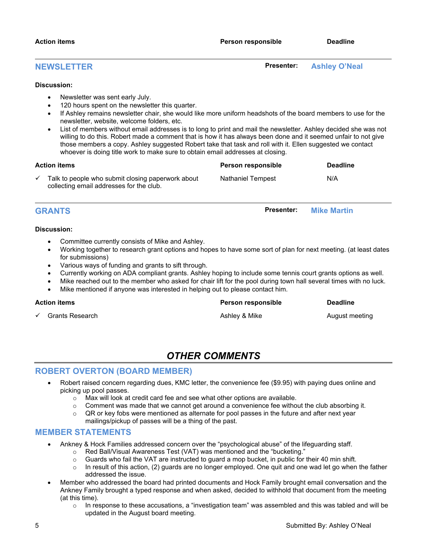#### **NEWSLETTER Presenter: Ashley O'Neal**

#### **Discussion:**

- Newsletter was sent early July.
- 120 hours spent on the newsletter this quarter.
- If Ashley remains newsletter chair, she would like more uniform headshots of the board members to use for the newsletter, website, welcome folders, etc.
- List of members without email addresses is to long to print and mail the newsletter. Ashley decided she was not willing to do this. Robert made a comment that is how it has always been done and it seemed unfair to not give those members a copy. Ashley suggested Robert take that task and roll with it. Ellen suggested we contact whoever is doing title work to make sure to obtain email addresses at closing.

| Action items |                                                                                               | <b>Person responsible</b> | <b>Deadline</b> |
|--------------|-----------------------------------------------------------------------------------------------|---------------------------|-----------------|
|              | Talk to people who submit closing paperwork about<br>collecting email addresses for the club. | Nathaniel Tempest         | N/A             |

## **GRANTS Presenter: Mike Martin**

#### **Discussion:**

- Committee currently consists of Mike and Ashley.
- Working together to research grant options and hopes to have some sort of plan for next meeting. (at least dates for submissions)
- Various ways of funding and grants to sift through.
- Currently working on ADA compliant grants. Ashley hoping to include some tennis court grants options as well.
- Mike reached out to the member who asked for chair lift for the pool during town hall several times with no luck.
- Mike mentioned if anyone was interested in helping out to please contact him.

#### **Action items Person responsible Deadline**

**Grants Research Ashley & Mike August meeting Ashley & Mike** August meeting

# *OTHER COMMENTS*

### **ROBERT OVERTON (BOARD MEMBER)**

- Robert raised concern regarding dues, KMC letter, the convenience fee (\$9.95) with paying dues online and picking up pool passes.
	- o Max will look at credit card fee and see what other options are available.
	- $\circ$  Comment was made that we cannot get around a convenience fee without the club absorbing it.
	- QR or key fobs were mentioned as alternate for pool passes in the future and after next year mailings/pickup of passes will be a thing of the past.

### **MEMBER STATEMENTS**

- Ankney & Hock Families addressed concern over the "psychological abuse" of the lifeguarding staff.
	- $\circ$  Red Ball/Visual Awareness Test (VAT) was mentioned and the "bucketing."<br> $\circ$  Guards who fail the VAT are instructed to guard a mop bucket, in public for
	- $\circ$  Guards who fail the VAT are instructed to guard a mop bucket, in public for their 40 min shift.<br> $\circ$  In result of this action. (2) quards are no longer emploved. One quit and one wad let go when
	- In result of this action, (2) guards are no longer employed. One quit and one wad let go when the father addressed the issue.
- Member who addressed the board had printed documents and Hock Family brought email conversation and the Ankney Family brought a typed response and when asked, decided to withhold that document from the meeting (at this time).
	- $\circ$  In response to these accusations, a "investigation team" was assembled and this was tabled and will be updated in the August board meeting.